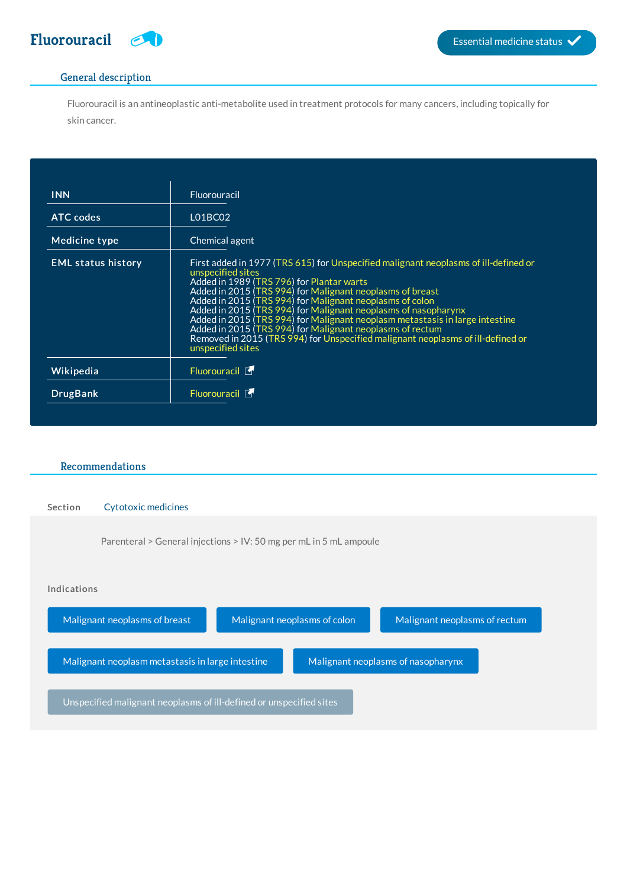

## General description

Fluorouracil is an antineoplastic anti-metabolite used in treatment protocols for many cancers, including topically for skin cancer.

| <b>INN</b>                | Fluorouracil                                                                                                                                                                                                                                                                                                                                                                                                                                                                                                                                                                                          |
|---------------------------|-------------------------------------------------------------------------------------------------------------------------------------------------------------------------------------------------------------------------------------------------------------------------------------------------------------------------------------------------------------------------------------------------------------------------------------------------------------------------------------------------------------------------------------------------------------------------------------------------------|
| <b>ATC</b> codes          | L01BC02                                                                                                                                                                                                                                                                                                                                                                                                                                                                                                                                                                                               |
| Medicine type             | Chemical agent                                                                                                                                                                                                                                                                                                                                                                                                                                                                                                                                                                                        |
| <b>EML status history</b> | First added in 1977 (TRS 615) for Unspecified malignant neoplasms of ill-defined or<br>unspecified sites<br>Added in 1989 (TRS 796) for Plantar warts<br>Added in 2015 (TRS 994) for Malignant neoplasms of breast<br>Added in 2015 (TRS 994) for Malignant neoplasms of colon<br>Added in 2015 (TRS 994) for Malignant neoplasms of nasopharynx<br>Added in 2015 (TRS 994) for Malignant neoplasm metastasis in large intestine<br>Added in 2015 (TRS 994) for Malignant neoplasms of rectum<br>Removed in 2015 (TRS 994) for Unspecified malignant neoplasms of ill-defined or<br>unspecified sites |
| Wikipedia                 | Fluorouracil <b>T</b>                                                                                                                                                                                                                                                                                                                                                                                                                                                                                                                                                                                 |
| <b>DrugBank</b>           | Fluorouracil 「                                                                                                                                                                                                                                                                                                                                                                                                                                                                                                                                                                                        |

## Recommendations

| <b>Section</b> | <b>Cytotoxic medicines</b>                                         |                              |                                    |  |
|----------------|--------------------------------------------------------------------|------------------------------|------------------------------------|--|
|                | Parenteral > General injections > IV: 50 mg per mL in 5 mL ampoule |                              |                                    |  |
|                |                                                                    |                              |                                    |  |
| Indications    |                                                                    |                              |                                    |  |
|                |                                                                    |                              |                                    |  |
|                | Malignant neoplasms of breast                                      | Malignant neoplasms of colon | Malignant neoplasms of rectum      |  |
|                | Malignant neoplasm metastasis in large intestine                   |                              | Malignant neoplasms of nasopharynx |  |